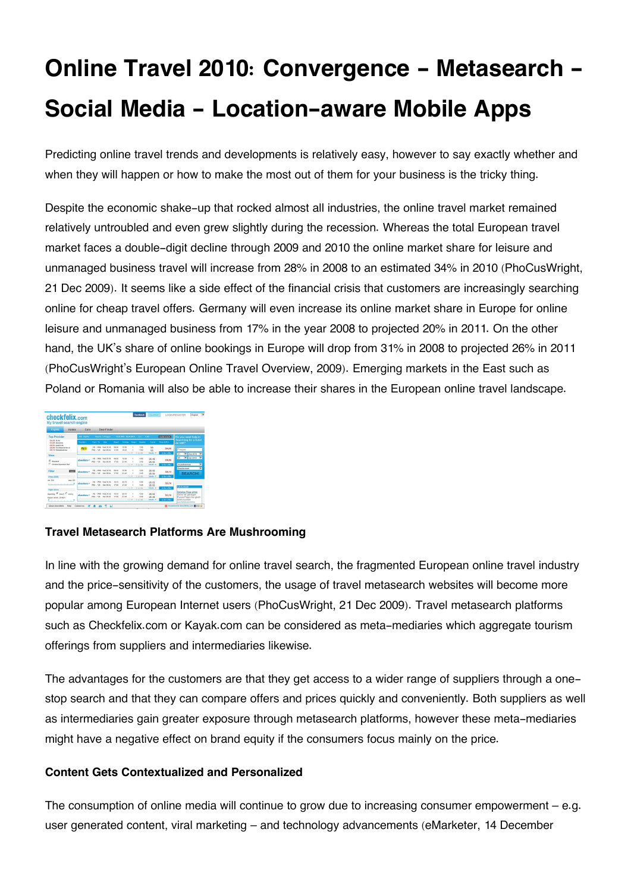# **Online Travel 2010: Convergence - Metasearch - Social Media - Location-aware Mobile Apps**

Predicting online travel trends and developments is relatively easy, however to say exactly whether and when they will happen or how to make the most out of them for your business is the tricky thing.

Despite the economic shake-up that rocked almost all industries, the online travel market remained relatively untroubled and even grew slightly during the recession. Whereas the total European travel market faces a double-digit decline through 2009 and 2010 the online market share for leisure and unmanaged business travel will increase from 28% in 2008 to an estimated 34% in 2010 (PhoCusWright, 21 Dec 2009). It seems like a side effect of the financial crisis that customers are increasingly searching online for cheap travel offers. Germany will even increase its online market share in Europe for online leisure and unmanaged business from 17% in the year 2008 to projected 20% in 2011. On the other hand, the UK's share of online bookings in Europe will drop from 31% in 2008 to projected 26% in 2011 (PhoCusWright's European Online Travel Overview, 2009). Emerging markets in the East such as Poland or Romania will also be able to increase their shares in the European online travel landscape.

| checkfelix.com<br>My travel search engine<br>Flights<br>Hotels             | Cars         |                                            | <b>Deal-Finder</b>                       |                |                         |                 |              |                |               |                                                                                    |
|----------------------------------------------------------------------------|--------------|--------------------------------------------|------------------------------------------|----------------|-------------------------|-----------------|--------------|----------------|---------------|------------------------------------------------------------------------------------|
| <b>Top-Provider</b>                                                        | 205 Holds    |                                            | Veres in France                          |                | 34.03.2010 : 05.04.2010 |                 | Text.        | 14.47          | modify sourch | Do you need help in                                                                |
| 304.00 finds<br><b>STR.M. ebookers</b>                                     | Northern     | Floor, Tal.                                | Date                                     | Denver.        | <b>Lemma</b>            | <b>Street y</b> | Dasher.      | Content        | Price (1971)  | Searching for a hotel<br>as well?                                                  |
| 328.93 64404.66<br>128.86 TULEviseCenter at<br><b>155 70 Realmatchings</b> | film on      | <b>LHE . BOYS</b><br>PR3 - VW              | 10ed 21.03<br><b>West 05.04</b>          | 02.00<br>11.55 | 15.55<br>19.01          |                 | 2.55<br>2.60 | MA<br>MA       | 354.00        | Prague                                                                             |
| View                                                                       |              |                                            |                                          |                |                         | 11.97           | 21.45.000    | Celeb -        | to the offer  | <b>V</b> Mar 2010<br>31<br>v                                                       |
| <b>R</b> Standard                                                          | abordence it | US - 200 Hart 14 ES<br>PR3 - VW Site 05.04 |                                          | 50.00<br>12.65 | 10:20<br>2140           |                 | 450<br>3.45  | DK AR<br>DC HD | 118.66        | V Apr 2010<br>÷<br>05<br>┯                                                         |
| C Choose Departure first                                                   |              |                                            |                                          |                |                         | 169             | 直面图          | Details w      | to the offer  | as preferences                                                                     |
| Filter<br><b>Longel</b>                                                    | ebookers."   | VR . PRO<br>PR3 - VW                       | Shed 21.03<br><b>Hon Of OA</b>           | 08.05<br>12.65 | 10.00<br>2140           |                 | 3.70<br>2.45 | DK HD<br>DK HD | 320.73        | ÷<br>Dreifig store<br><b>SEARCH!</b>                                               |
| Price (ELFG)                                                               |              |                                            |                                          |                |                         | 11.9            | 23 45 950    | Details in     | In the offer  |                                                                                    |
| old Mar<br>CAL CRS<br>state and a state of the state                       | ebookeess    | VR . PRO 104431 ES<br>89/1 - 1/8 Hot M-N   |                                          | 16.15<br>17.66 | 2010<br>31.45           |                 | 4.58<br>3.45 | 0610<br>DK HS  | 322.70        | Ads by Coople                                                                      |
| <b>Flicht times</b>                                                        |              |                                            |                                          |                |                         | 4.14.98         | 方法的          | Celebi w       | to the offer  |                                                                                    |
| Detailling IT request C besten<br>Denis Abda., 1954 h.                     | abordons.it  | <b>ME - 990</b><br>PR3 - VW                | <b>Start to Bit</b><br><b>West 05.04</b> | 10.15<br>12.55 | 2010<br>21.65           |                 | 450<br>2.65  | DK HO<br>DK AB | 323.70        | <b>Gánstos Flúos celles</b><br>Airline mit günstigen<br>Europa-Pilpaen hier gleich |
| the company of the company of                                              |              |                                            |                                          |                |                         | $1 + 10$        | 百百四          | Ostals =       | to the offer. | andras hurbard<br>any Public semilation                                            |

# **Travel Metasearch Platforms Are Mushrooming**

In line with the growing demand for online travel search, the fragmented European online travel industry and the price-sensitivity of the customers, the usage of travel metasearch websites will become more popular among European Internet users (PhoCusWright, 21 Dec 2009). Travel metasearch platforms such as Checkfelix.com or Kayak.com can be considered as meta-mediaries which aggregate tourism offerings from suppliers and intermediaries likewise.

The advantages for the customers are that they get access to a wider range of suppliers through a onestop search and that they can compare offers and prices quickly and conveniently. Both suppliers as well as intermediaries gain greater exposure through metasearch platforms, however these meta-mediaries might have a negative effect on brand equity if the consumers focus mainly on the price.

# **Content Gets Contextualized and Personalized**

The consumption of online media will continue to grow due to increasing consumer empowerment – e.g. user generated content, viral marketing – and technology advancements (eMarketer, 14 December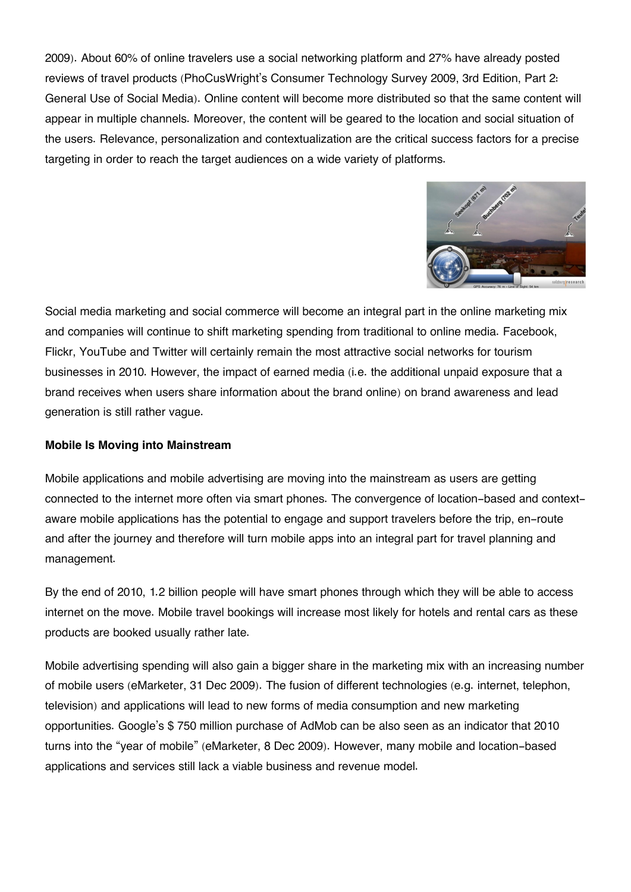2009). About 60% of online travelers use a social networking platform and 27% have already posted reviews of travel products (PhoCusWright's Consumer Technology Survey 2009, 3rd Edition, Part 2: General Use of Social Media). Online content will become more distributed so that the same content will appear in multiple channels. Moreover, the content will be geared to the location and social situation of the users. Relevance, personalization and contextualization are the critical success factors for a precise targeting in order to reach the target audiences on a wide variety of platforms.



Social media marketing and social commerce will become an integral part in the online marketing mix and companies will continue to shift marketing spending from traditional to online media. Facebook, Flickr, YouTube and Twitter will certainly remain the most attractive social networks for tourism businesses in 2010. However, the impact of earned media (i.e. the additional unpaid exposure that a brand receives when users share information about the brand online) on brand awareness and lead generation is still rather vague.

#### **Mobile Is Moving into Mainstream**

Mobile applications and mobile advertising are moving into the mainstream as users are getting connected to the internet more often via smart phones. The convergence of location-based and contextaware mobile applications has the potential to engage and support travelers before the trip, en-route and after the journey and therefore will turn mobile apps into an integral part for travel planning and management.

By the end of 2010, 1.2 billion people will have smart phones through which they will be able to access internet on the move. Mobile travel bookings will increase most likely for hotels and rental cars as these products are booked usually rather late.

Mobile advertising spending will also gain a bigger share in the marketing mix with an increasing number of mobile users (eMarketer, 31 Dec 2009). The fusion of different technologies (e.g. internet, telephon, television) and applications will lead to new forms of media consumption and new marketing opportunities. Google's \$ 750 million purchase of AdMob can be also seen as an indicator that 2010 turns into the "year of mobile" (eMarketer, 8 Dec 2009). However, many mobile and location-based applications and services still lack a viable business and revenue model.